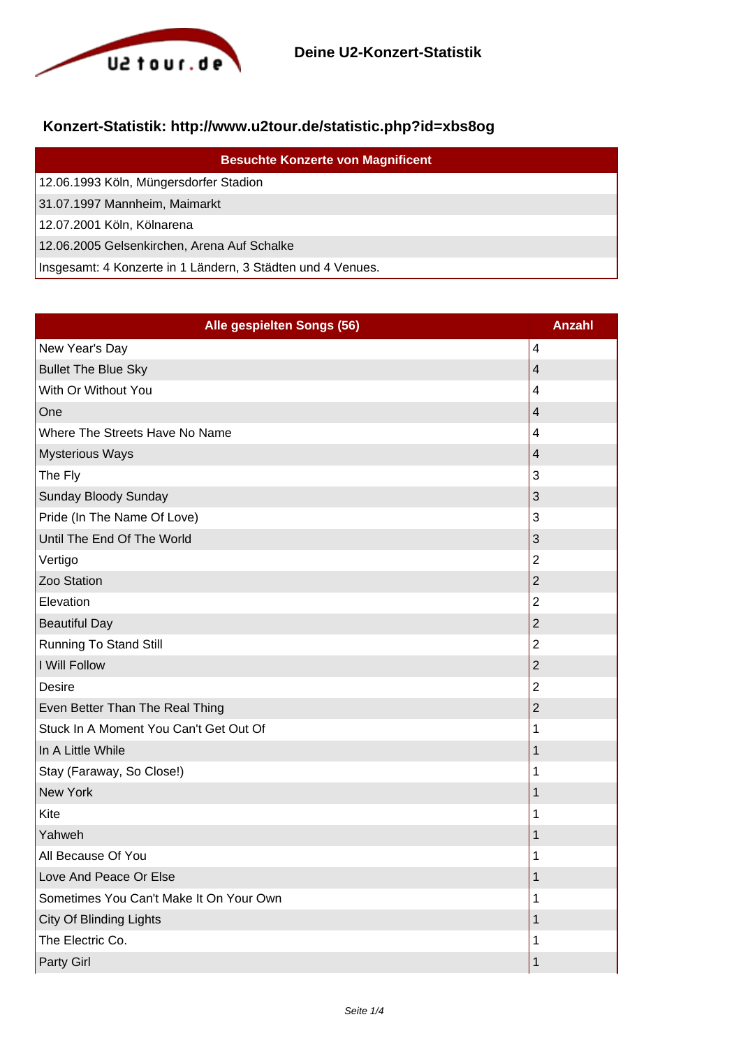

## **Konzert-Statistik: http://www.u2tour.de/statistic.php?id=xbs8og**

| <b>Besuchte Konzerte von Magnificent</b>                    |
|-------------------------------------------------------------|
| 12.06.1993 Köln, Müngersdorfer Stadion                      |
| 31.07.1997 Mannheim, Maimarkt                               |
| 12.07.2001 Köln, Kölnarena                                  |
| 12.06.2005 Gelsenkirchen, Arena Auf Schalke                 |
| Insgesamt: 4 Konzerte in 1 Ländern, 3 Städten und 4 Venues. |

| Alle gespielten Songs (56)              | <b>Anzahl</b>  |
|-----------------------------------------|----------------|
| New Year's Day                          | $\overline{4}$ |
| <b>Bullet The Blue Sky</b>              | $\overline{4}$ |
| With Or Without You                     | $\overline{4}$ |
| One                                     | $\overline{4}$ |
| Where The Streets Have No Name          | $\overline{4}$ |
| <b>Mysterious Ways</b>                  | $\overline{4}$ |
| The Fly                                 | 3              |
| Sunday Bloody Sunday                    | 3              |
| Pride (In The Name Of Love)             | 3              |
| Until The End Of The World              | 3              |
| Vertigo                                 | $\overline{2}$ |
| Zoo Station                             | $\overline{2}$ |
| Elevation                               | $\overline{2}$ |
| <b>Beautiful Day</b>                    | $\overline{2}$ |
| <b>Running To Stand Still</b>           | $\overline{2}$ |
| I Will Follow                           | $\overline{2}$ |
| <b>Desire</b>                           | $\overline{2}$ |
| Even Better Than The Real Thing         | $\overline{2}$ |
| Stuck In A Moment You Can't Get Out Of  | 1              |
| In A Little While                       | $\mathbf 1$    |
| Stay (Faraway, So Close!)               | 1              |
| <b>New York</b>                         | 1              |
| Kite                                    | 1              |
| Yahweh                                  | $\mathbf 1$    |
| All Because Of You                      | 1              |
| Love And Peace Or Else                  | $\mathbf 1$    |
| Sometimes You Can't Make It On Your Own | 1              |
| City Of Blinding Lights                 | 1              |
| The Electric Co.                        | 1              |
| Party Girl                              | $\mathbf 1$    |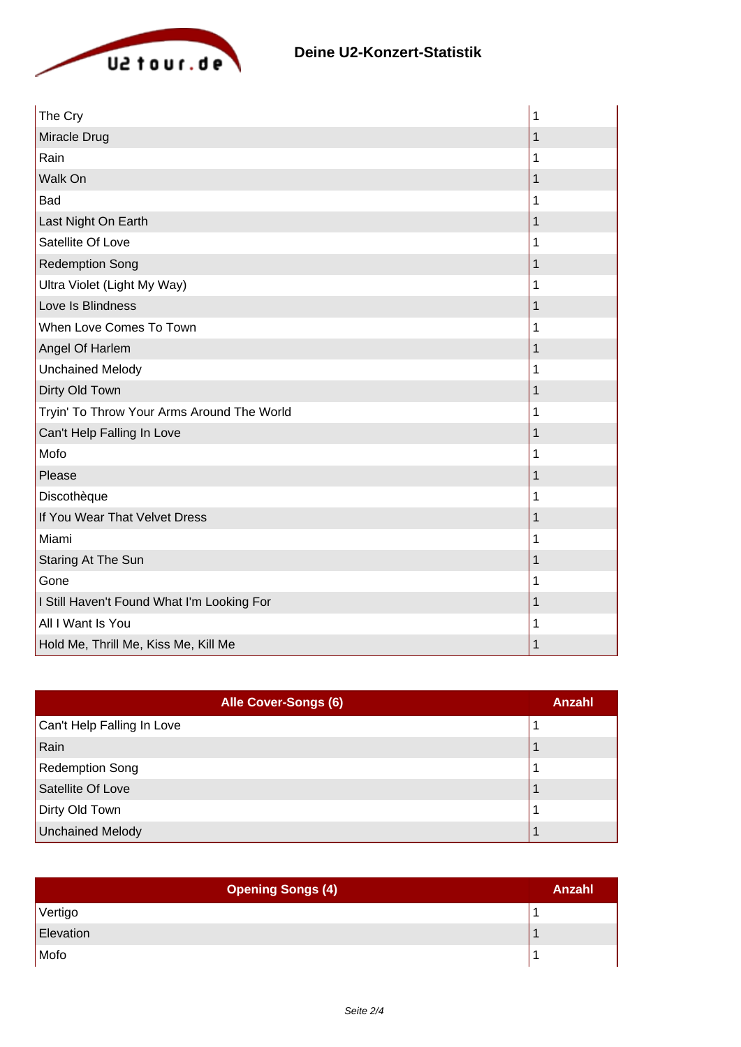

| The Cry                                    | 1           |
|--------------------------------------------|-------------|
| Miracle Drug                               | $\mathbf 1$ |
| Rain                                       | 1           |
| Walk On                                    | 1           |
| <b>Bad</b>                                 | 1           |
| Last Night On Earth                        | 1           |
| Satellite Of Love                          | 1           |
| <b>Redemption Song</b>                     | $\mathbf 1$ |
| Ultra Violet (Light My Way)                | 1           |
| Love Is Blindness                          | 1           |
| When Love Comes To Town                    | 1           |
| Angel Of Harlem                            | 1           |
| <b>Unchained Melody</b>                    | 1           |
| Dirty Old Town                             | 1           |
| Tryin' To Throw Your Arms Around The World | 1           |
| Can't Help Falling In Love                 | 1           |
| Mofo                                       | 1           |
| Please                                     | 1           |
| Discothèque                                | 1           |
| If You Wear That Velvet Dress              | 1           |
| Miami                                      | 1           |
| Staring At The Sun                         | 1           |
| Gone                                       | 1           |
| I Still Haven't Found What I'm Looking For | 1           |
| All I Want Is You                          | 1           |
| Hold Me, Thrill Me, Kiss Me, Kill Me       | 1           |

| Alle Cover-Songs (6)       | Anzahl |
|----------------------------|--------|
| Can't Help Falling In Love |        |
| Rain                       |        |
| <b>Redemption Song</b>     |        |
| Satellite Of Love          |        |
| Dirty Old Town             |        |
| <b>Unchained Melody</b>    |        |

| <b>Opening Songs (4)</b> | Anzahl |
|--------------------------|--------|
| Vertigo                  |        |
| Elevation                |        |
| Mofo                     |        |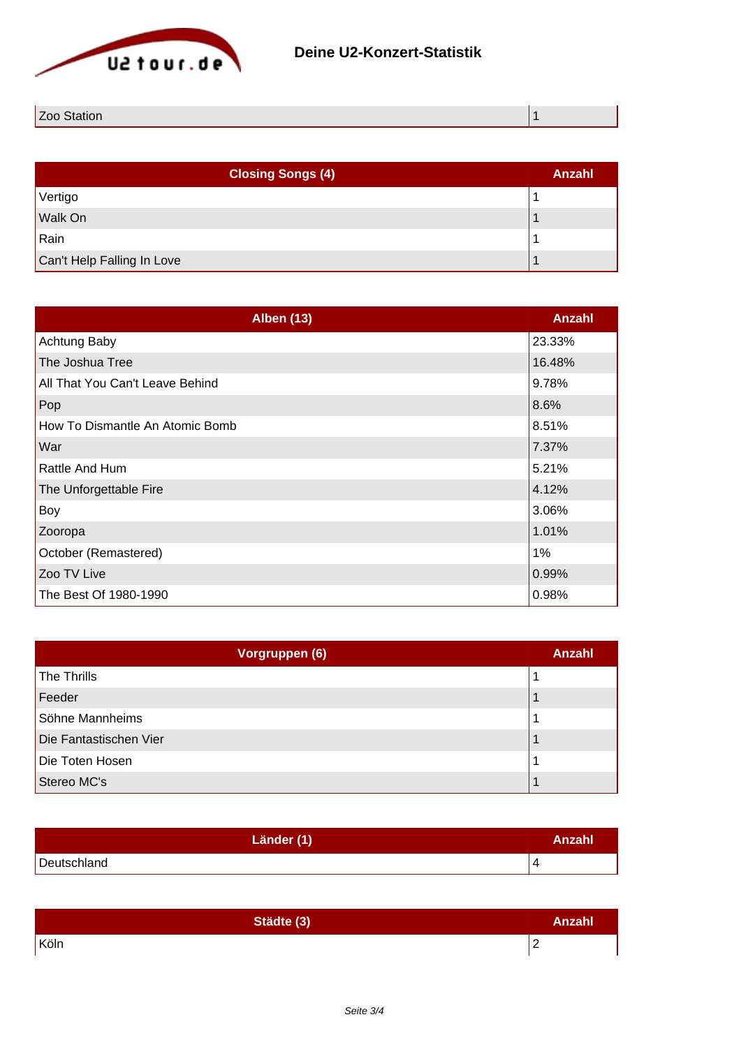

| $\overline{\phantom{0}}$<br>n |  |
|-------------------------------|--|
|                               |  |

| <b>Closing Songs (4)</b>   | Anzahl |
|----------------------------|--------|
| Vertigo                    |        |
| Walk On                    |        |
| Rain                       |        |
| Can't Help Falling In Love |        |

| <b>Alben (13)</b>               | <b>Anzahl</b> |
|---------------------------------|---------------|
| Achtung Baby                    | 23.33%        |
| The Joshua Tree                 | 16.48%        |
| All That You Can't Leave Behind | 9.78%         |
| Pop                             | 8.6%          |
| How To Dismantle An Atomic Bomb | 8.51%         |
| War                             | 7.37%         |
| <b>Rattle And Hum</b>           | 5.21%         |
| The Unforgettable Fire          | 4.12%         |
| Boy                             | 3.06%         |
| Zooropa                         | 1.01%         |
| October (Remastered)            | 1%            |
| Zoo TV Live                     | 0.99%         |
| The Best Of 1980-1990           | 0.98%         |

| Vorgruppen (6)         | <b>Anzahl</b> |
|------------------------|---------------|
| The Thrills            |               |
| Feeder                 |               |
| Söhne Mannheims        |               |
| Die Fantastischen Vier |               |
| Die Toten Hosen        |               |
| Stereo MC's            |               |

| Länder (1)  | Anzahl |
|-------------|--------|
| Deutschland |        |

| Städte (3) | <b>Anzahl</b>   |
|------------|-----------------|
| Köln       | $\epsilon$<br>- |